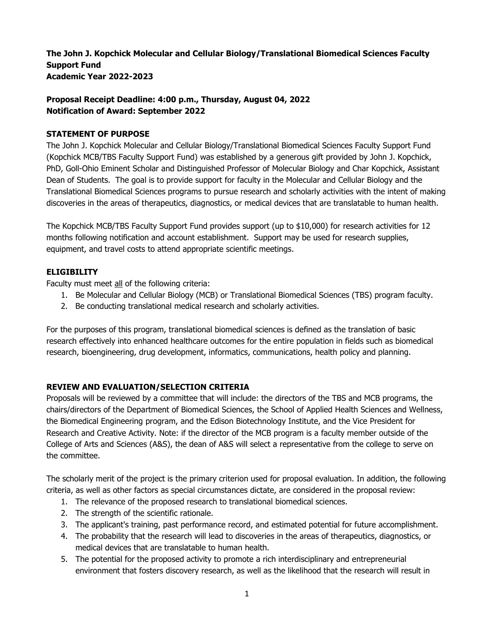**The John J. Kopchick Molecular and Cellular Biology/Translational Biomedical Sciences Faculty Support Fund Academic Year 2022-2023** 

# **Proposal Receipt Deadline: 4:00 p.m., Thursday, August 04, 2022 Notification of Award: September 2022**

## **STATEMENT OF PURPOSE**

The John J. Kopchick Molecular and Cellular Biology/Translational Biomedical Sciences Faculty Support Fund (Kopchick MCB/TBS Faculty Support Fund) was established by a generous gift provided by John J. Kopchick, PhD, Goll-Ohio Eminent Scholar and Distinguished Professor of Molecular Biology and Char Kopchick, Assistant Dean of Students. The goal is to provide support for faculty in the Molecular and Cellular Biology and the Translational Biomedical Sciences programs to pursue research and scholarly activities with the intent of making discoveries in the areas of therapeutics, diagnostics, or medical devices that are translatable to human health.

The Kopchick MCB/TBS Faculty Support Fund provides support (up to \$10,000) for research activities for 12 months following notification and account establishment. Support may be used for research supplies, equipment, and travel costs to attend appropriate scientific meetings.

## **ELIGIBILITY**

Faculty must meet all of the following criteria:

- 1. Be Molecular and Cellular Biology (MCB) or Translational Biomedical Sciences (TBS) program faculty.
- 2. Be conducting translational medical research and scholarly activities.

For the purposes of this program, translational biomedical sciences is defined as the translation of basic research effectively into enhanced healthcare outcomes for the entire population in fields such as biomedical research, bioengineering, drug development, informatics, communications, health policy and planning.

# **REVIEW AND EVALUATION/SELECTION CRITERIA**

Proposals will be reviewed by a committee that will include: the directors of the TBS and MCB programs, the chairs/directors of the Department of Biomedical Sciences, the School of Applied Health Sciences and Wellness, the Biomedical Engineering program, and the Edison Biotechnology Institute, and the Vice President for Research and Creative Activity. Note: if the director of the MCB program is a faculty member outside of the College of Arts and Sciences (A&S), the dean of A&S will select a representative from the college to serve on the committee.

The scholarly merit of the project is the primary criterion used for proposal evaluation. In addition, the following criteria, as well as other factors as special circumstances dictate, are considered in the proposal review:

- 1. The relevance of the proposed research to translational biomedical sciences.
- 2. The strength of the scientific rationale.
- 3. The applicant's training, past performance record, and estimated potential for future accomplishment.
- 4. The probability that the research will lead to discoveries in the areas of therapeutics, diagnostics, or medical devices that are translatable to human health.
- 5. The potential for the proposed activity to promote a rich interdisciplinary and entrepreneurial environment that fosters discovery research, as well as the likelihood that the research will result in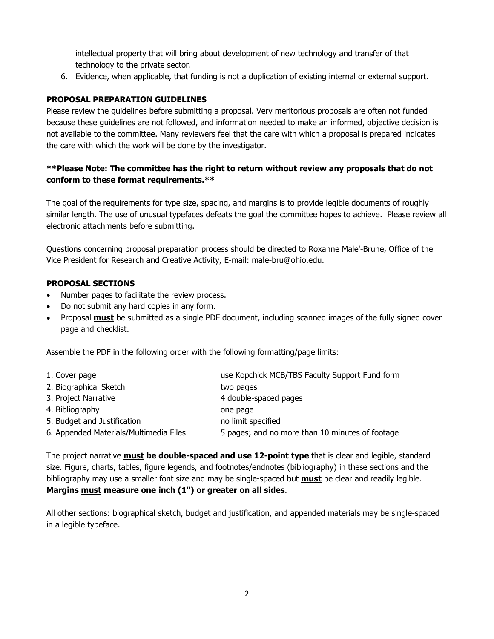intellectual property that will bring about development of new technology and transfer of that technology to the private sector.

6. Evidence, when applicable, that funding is not a duplication of existing internal or external support.

## **PROPOSAL PREPARATION GUIDELINES**

Please review the guidelines before submitting a proposal. Very meritorious proposals are often not funded because these guidelines are not followed, and information needed to make an informed, objective decision is not available to the committee. Many reviewers feel that the care with which a proposal is prepared indicates the care with which the work will be done by the investigator.

# **\*\*Please Note: The committee has the right to return without review any proposals that do not conform to these format requirements.\*\***

The goal of the requirements for type size, spacing, and margins is to provide legible documents of roughly similar length. The use of unusual typefaces defeats the goal the committee hopes to achieve. Please review all electronic attachments before submitting.

Questions concerning proposal preparation process should be directed to Roxanne Male'-Brune, Office of the Vice President for Research and Creative Activity, E-mail: male-bru@ohio.edu.

## **PROPOSAL SECTIONS**

- Number pages to facilitate the review process.
- Do not submit any hard copies in any form.
- Proposal **must** be submitted as a single PDF document, including scanned images of the fully signed cover page and checklist.

Assemble the PDF in the following order with the following formatting/page limits:

| 1. Cover page                          | use Kopchick MCB/TBS Faculty Support Fund form  |
|----------------------------------------|-------------------------------------------------|
| 2. Biographical Sketch                 | two pages                                       |
| 3. Project Narrative                   | 4 double-spaced pages                           |
| 4. Bibliography                        | one page                                        |
| 5. Budget and Justification            | no limit specified                              |
| 6. Appended Materials/Multimedia Files | 5 pages; and no more than 10 minutes of footage |

The project narrative **must be double-spaced and use 12-point type** that is clear and legible, standard size. Figure, charts, tables, figure legends, and footnotes/endnotes (bibliography) in these sections and the bibliography may use a smaller font size and may be single-spaced but **must** be clear and readily legible. **Margins must measure one inch (1") or greater on all sides**.

All other sections: biographical sketch, budget and justification, and appended materials may be single-spaced in a legible typeface.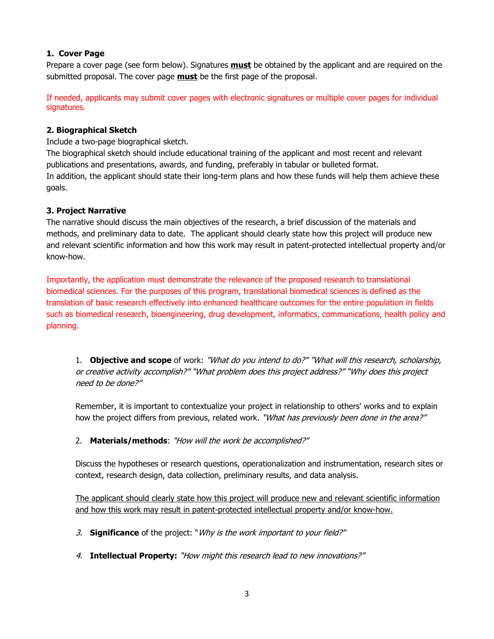# **1. Cover Page**

Prepare a cover page (see form below). Signatures **must** be obtained by the applicant and are required on the submitted proposal. The cover page **must** be the first page of the proposal.

If needed, applicants may submit cover pages with electronic signatures or multiple cover pages for individual signatures.

# **2. Biographical Sketch**

Include a two-page biographical sketch.

The biographical sketch should include educational training of the applicant and most recent and relevant publications and presentations, awards, and funding, preferably in tabular or bulleted format. In addition, the applicant should state their long-term plans and how these funds will help them achieve these goals.

## **3. Project Narrative**

The narrative should discuss the main objectives of the research, a brief discussion of the materials and methods, and preliminary data to date. The applicant should clearly state how this project will produce new and relevant scientific information and how this work may result in patent-protected intellectual property and/or know-how.

Importantly, the application must demonstrate the relevance of the proposed research to translational biomedical sciences. For the purposes of this program, translational biomedical sciences is defined as the translation of basic research effectively into enhanced healthcare outcomes for the entire population in fields such as biomedical research, bioengineering, drug development, informatics, communications, health policy and planning.

1. **Objective and scope** of work: "What do you intend to do?" "What will this research, scholarship, or creative activity accomplish?" "What problem does this project address?" "Why does this project need to be done?"

Remember, it is important to contextualize your project in relationship to others' works and to explain how the project differs from previous, related work. "What has previously been done in the area?"

# 2. **Materials/methods**: "How will the work be accomplished?"

Discuss the hypotheses or research questions, operationalization and instrumentation, research sites or context, research design, data collection, preliminary results, and data analysis.

The applicant should clearly state how this project will produce new and relevant scientific information and how this work may result in patent-protected intellectual property and/or know-how.

- 3. **Significance** of the project: "Why is the work important to your field?"
- 4. **Intellectual Property:** "How might this research lead to new innovations?"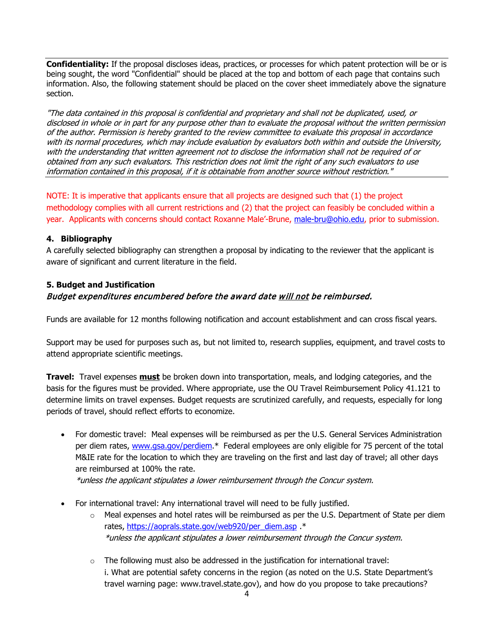**Confidentiality:** If the proposal discloses ideas, practices, or processes for which patent protection will be or is being sought, the word "Confidential" should be placed at the top and bottom of each page that contains such information. Also, the following statement should be placed on the cover sheet immediately above the signature section.

"The data contained in this proposal is confidential and proprietary and shall not be duplicated, used, or disclosed in whole or in part for any purpose other than to evaluate the proposal without the written permission of the author. Permission is hereby granted to the review committee to evaluate this proposal in accordance with its normal procedures, which may include evaluation by evaluators both within and outside the University, with the understanding that written agreement not to disclose the information shall not be required of or obtained from any such evaluators. This restriction does not limit the right of any such evaluators to use information contained in this proposal, if it is obtainable from another source without restriction."

NOTE: It is imperative that applicants ensure that all projects are designed such that (1) the project methodology complies with all current restrictions and (2) that the project can feasibly be concluded within a year. Applicants with concerns should contact Roxanne Male'-Brune, [male-bru@ohio.edu,](mailto:male-bru@ohio.edu) prior to submission.

## **4. Bibliography**

A carefully selected bibliography can strengthen a proposal by indicating to the reviewer that the applicant is aware of significant and current literature in the field.

# **5. Budget and Justification** Budget expenditures encumbered before the award date will not be reimbursed.

Funds are available for 12 months following notification and account establishment and can cross fiscal years.

Support may be used for purposes such as, but not limited to, research supplies, equipment, and travel costs to attend appropriate scientific meetings.

**Travel:** Travel expenses **must** be broken down into transportation, meals, and lodging categories, and the basis for the figures must be provided. Where appropriate, use the OU Travel Reimbursement Policy 41.121 to determine limits on travel expenses. Budget requests are scrutinized carefully, and requests, especially for long periods of travel, should reflect efforts to economize.

• For domestic travel: Meal expenses will be reimbursed as per the U.S. General Services Administration per diem rates, [www.gsa.gov/perdiem.](http://www.gsa.gov/perdiem)\* Federal employees are only eligible for 75 percent of the total M&IE rate for the location to which they are traveling on the first and last day of travel; all other days are reimbursed at 100% the rate.

\*unless the applicant stipulates a lower reimbursement through the Concur system.

- For international travel: Any international travel will need to be fully justified.
	- $\circ$  Meal expenses and hotel rates will be reimbursed as per the U.S. Department of State per diem rates, [https://aoprals.state.gov/web920/per\\_diem.asp](https://aoprals.state.gov/web920/per_diem.asp) \* \*unless the applicant stipulates a lower reimbursement through the Concur system.
	- $\circ$  The following must also be addressed in the justification for international travel: i. What are potential safety concerns in the region (as noted on the U.S. State Department's travel warning page: www.travel.state.gov), and how do you propose to take precautions?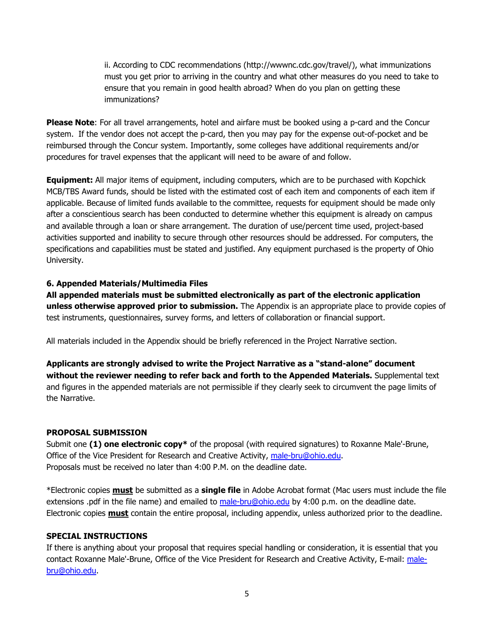ii. According to CDC recommendations (http://wwwnc.cdc.gov/travel/), what immunizations must you get prior to arriving in the country and what other measures do you need to take to ensure that you remain in good health abroad? When do you plan on getting these immunizations?

**Please Note**: For all travel arrangements, hotel and airfare must be booked using a p-card and the Concur system. If the vendor does not accept the p-card, then you may pay for the expense out-of-pocket and be reimbursed through the Concur system. Importantly, some colleges have additional requirements and/or procedures for travel expenses that the applicant will need to be aware of and follow.

**Equipment:** All major items of equipment, including computers, which are to be purchased with Kopchick MCB/TBS Award funds, should be listed with the estimated cost of each item and components of each item if applicable. Because of limited funds available to the committee, requests for equipment should be made only after a conscientious search has been conducted to determine whether this equipment is already on campus and available through a loan or share arrangement. The duration of use/percent time used, project-based activities supported and inability to secure through other resources should be addressed. For computers, the specifications and capabilities must be stated and justified. Any equipment purchased is the property of Ohio University.

### **6. Appended Materials/Multimedia Files**

**All appended materials must be submitted electronically as part of the electronic application unless otherwise approved prior to submission.** The Appendix is an appropriate place to provide copies of test instruments, questionnaires, survey forms, and letters of collaboration or financial support.

All materials included in the Appendix should be briefly referenced in the Project Narrative section.

**Applicants are strongly advised to write the Project Narrative as a "stand-alone" document without the reviewer needing to refer back and forth to the Appended Materials.** Supplemental text and figures in the appended materials are not permissible if they clearly seek to circumvent the page limits of the Narrative.

#### **PROPOSAL SUBMISSION**

Submit one **(1) one electronic copy\*** of the proposal (with required signatures) to Roxanne Male'-Brune, Office of the Vice President for Research and Creative Activity, [male-bru@ohio.edu.](mailto:male-bru@ohio.edu) Proposals must be received no later than 4:00 P.M. on the deadline date.

\*Electronic copies **must** be submitted as a **single file** in Adobe Acrobat format (Mac users must include the file extensions .pdf in the file name) and emailed to [male-bru@ohio.edu](mailto:male-bru@ohio.edu) by 4:00 p.m. on the deadline date. Electronic copies **must** contain the entire proposal, including appendix, unless authorized prior to the deadline.

### **SPECIAL INSTRUCTIONS**

If there is anything about your proposal that requires special handling or consideration, it is essential that you contact Roxanne Male'-Brune, Office of the Vice President for Research and Creative Activity, E-mail: [male](mailto:male-bru@ohio.edu)[bru@ohio.edu.](mailto:male-bru@ohio.edu)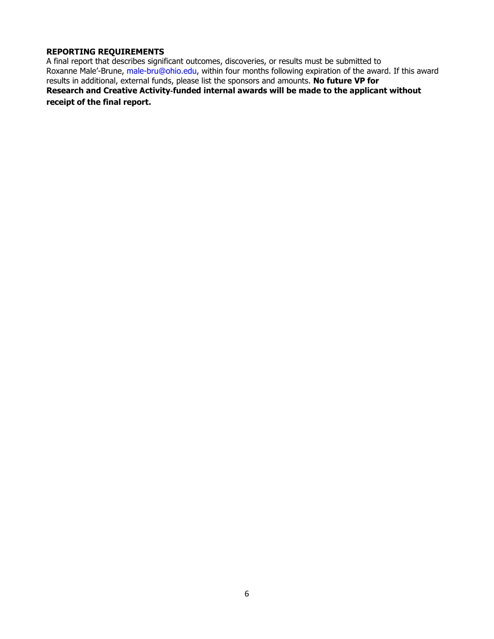### **REPORTING REQUIREMENTS**

A final report that describes significant outcomes, discoveries, or results must be submitted to Roxanne Male'-Brune, male-bru@ohio.edu, within four months following expiration of the award. If this award results in additional, external funds, please list the sponsors and amounts. **No future VP for Research and Creative Activity**‐**funded internal awards will be made to the applicant without receipt of the final report.**